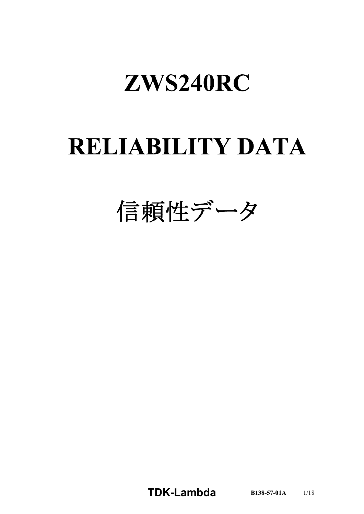# ZWS240RC

# **RELIABILITY DATA**

信頼性データ

**TDKLambda B1385701A** 1/18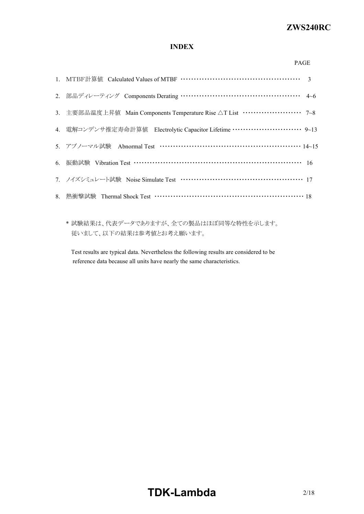# *RWS 50B600B Series* **ZWS240RC**

# **INDEX**

| ×<br>v |
|--------|

| 2. 部品ディレーティング Components Derating ………………………………………… 4~6                            |  |
|-----------------------------------------------------------------------------------|--|
| 3. 主要部品温度上昇值 Main Components Temperature Rise △T List ······················· 7~8 |  |
| 4. 電解コンデンサ推定寿命計算値 Electrolytic Capacitor Lifetime ……………………… 9~13                  |  |
| 5. アブノーマル試験 Abnormal Test …………………………………………………… 14~15                              |  |
| 6. 振動試験 Vibration Test …………………………………………………………… 16                                 |  |
| 7. ノイズシミュレート試験 Noise Simulate Test …………………………………………… 17                           |  |
|                                                                                   |  |
|                                                                                   |  |

\* 試験結果は、代表データでありますが、全ての製品はほぼ同等な特性を示します。 従いまして、以下の結果は参考値とお考え願います。

Test results are typical data. Nevertheless the following results are considered to be reference data because all units have nearly the same characteristics.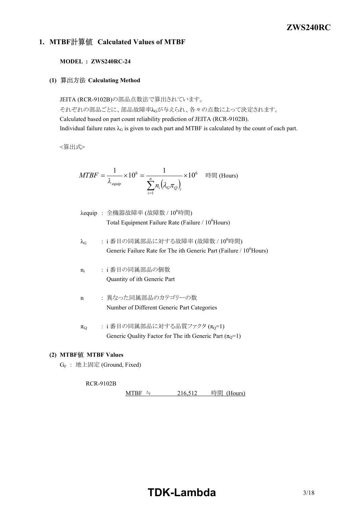# *RWS 50B600B Series* **ZWS240RC**

# **1. MTBF Calculated Values of MTBF**

## **MODEL : ZWS240RC24**

**(1) Calculating Method**

JEITA (RCR-9102B)の部品点数法で算出されています。 それぞれの部品ごとに、部品故障率λGが与えられ、各々の点数によって決定されます。 Calculated based on part count reliability prediction of JEITA (RCR-9102B). Individual failure rates  $\lambda_G$  is given to each part and MTBF is calculated by the count of each part.

<算出式>

$$
MTBF = \frac{1}{\lambda_{\text{equip}}} \times 10^6 = \frac{1}{\sum_{i=1}^n n_i (\lambda_{\text{c}} \pi_{\text{Q}})_i} \times 10^6 \quad \text{iff} \quad \text{(Hours)}
$$

- $\lambda$ equip : 全機器故障率 (故障数 /  $10^6$ 時間) Total Equipment Failure Rate (Failure  $/ 10<sup>6</sup>$ Hours)
- $\lambda_G$  : i番目の同属部品に対する故障率 (故障数 / 10 $^6$ 時間) Generic Failure Rate for The ith Generic Part (Failure / 10<sup>6</sup>Hours)
- $n_i$ : i 番目の同属部品の個数 Quantity of ith Generic Part
- n : 異なった同属部品のカテゴリーの数 Number of Different Generic Part Categories
- $\pi_{Q}$  : i 番目の同属部品に対する品質ファクタ $(\pi_{Q}=1)$ Generic Quality Factor for The ith Generic Part  $(\pi_0=1)$

## **(2) MTBF MTBF Values**

G<sup>F</sup> : 地上固定 (Ground, Fixed)

#### **RCR-9102B**

MTBF ≒  $216,512$  時間 (Hours)

# **TDKLambda** 3/18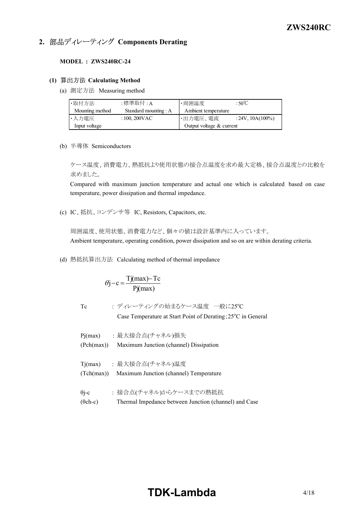# **2. 部品ディレーティング Components Derating**

## **MODEL : ZWS240RC24**

## **(1) Calculating Method**

(a) 測定方法 Measuring method

| ・取付方法           | :標準取付 : A             | ・周囲温度                      | : $50^{\circ}$ C    |
|-----------------|-----------------------|----------------------------|---------------------|
| Mounting method | Standard mounting : A | Ambient temperature        |                     |
| ・入力電圧           | $: 100, 200$ VAC      | ・出力電圧、電流                   | $: 24V, 10A(100\%)$ |
| Input voltage   |                       | Output voltage $&$ current |                     |

(b) 半導体 Semiconductors

ケース温度、消費電力、熱抵抗より使用状態の接合点温度を求め最大定格、接合点温度との比較を 求めました。

Compared with maximum junction temperature and actual one which is calculated based on case temperature, power dissipation and thermal impedance.

(c) IC、抵抗、コンデンサ等 IC, Resistors, Capacitors, etc.

周囲温度、使用状態、消費電力など、個々の値は設計基準内に入っています。 Ambient temperature, operating condition, power dissipation and so on are within derating criteria.

(d) 熱抵抗算出方法 Calculating method of thermal impedance

$$
\theta j - c = \frac{Tj(max) - Tc}{Pj(max)}
$$

Tc : ディレーティングの始まるケース温度 一般に25°C

Case Temperature at Start Point of Derating;  $25^{\circ}$ C in General

- Pj(max) : 最大接合点(チャネル)損失 (Pch(max)) Maximum Junction (channel) Dissipation Tj(max) : 最大接合点(チャネル)温度
- (Tch(max)) Maximum Junction (channel) Temperature
- θi-c : 接合点(チャネル)からケースまでの熱抵抗
- $(\theta$ ch-c) Thermal Impedance between Junction (channel) and Case

# **TDKLambda**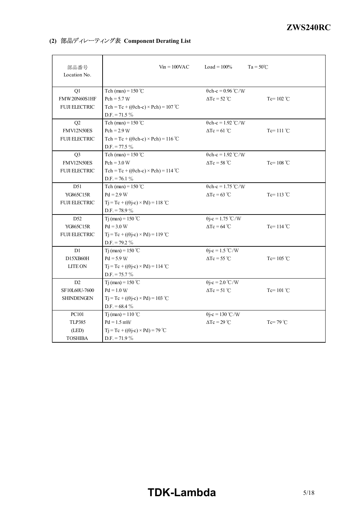# **(2) 部品ディレーティング表 Component Derating List**

| 部品番号<br>Location No. | $V_{\text{in}} = 100 \text{VAC}$                 | Load = $100\%$            | $Ta = 50^{\circ}C$  |
|----------------------|--------------------------------------------------|---------------------------|---------------------|
| Q1                   | Tch (max) = $150^{\circ}$ C                      | $\theta$ ch-c = 0.96 °C/W |                     |
| FMW20N60S1HF         | $Pch = 5.7 W$                                    | $\Delta Tc = 52^{\circ}C$ | Tc= $102^{\circ}$ C |
| <b>FUJI ELECTRIC</b> | $Tch = Tc + ((\theta ch-c) \times Pch) = 107$ °C |                           |                     |
|                      | $D.F. = 71.5 \%$                                 |                           |                     |
| Q2                   | Tch (max) = $150^{\circ}$ C                      | $\theta$ ch-c = 1.92 °C/W |                     |
| FMV12N50ES           | $Pch = 2.9 W$                                    | $\Delta Tc = 61^{\circ}C$ | Tc= $111^{\circ}$ C |
| <b>FUJI ELECTRIC</b> | $Tch = Tc + ((\theta ch-c) \times Pch) = 116$ °C |                           |                     |
|                      | $D.F. = 77.5 \%$                                 |                           |                     |
| Q <sub>3</sub>       | Tch (max) = $150^{\circ}$ C                      | $\theta$ ch-c = 1.92 °C/W |                     |
| FMV12N50ES           | $Pch = 3.0 W$                                    | $\Delta Tc = 58 °C$       | Tc= $108 °C$        |
| <b>FUJI ELECTRIC</b> | $Tch = Tc + ((\theta ch-c) \times Pch) = 114$ °C |                           |                     |
|                      | $D.F. = 76.1 \%$                                 |                           |                     |
| D51                  | Tch (max) = $150^{\circ}$ C                      | $\theta$ ch-c = 1.75 °C/W |                     |
| <b>YG865C15R</b>     | $Pd = 2.9 W$                                     | $\Delta Tc = 63$ °C       | Tc= $113^{\circ}$ C |
| <b>FUJI ELECTRIC</b> | $Tj = Tc + ((\theta j - c) \times Pd) = 118$ °C  |                           |                     |
|                      | D.F. = 78.9 $\%$                                 |                           |                     |
| D <sub>52</sub>      | T <sub>j</sub> (max) = $150^{\circ}$ C           | $\theta$ j-c = 1.75 °C/W  |                     |
| <b>YG865C15R</b>     | $Pd = 3.0 W$                                     | $\Delta Tc = 64$ °C       | Tc= $114^{\circ}$ C |
| <b>FUJI ELECTRIC</b> | $Tj = Tc + ((\theta j - c) \times Pd) = 119$ °C  |                           |                     |
|                      | $D.F. = 79.2 \%$                                 |                           |                     |
| D1                   | Tj (max) = $150 °C$                              | $\theta$ j-c = 1.5 °C/W   |                     |
| D15XB60H             | $Pd = 5.9 W$                                     | $\Delta Tc = 55^{\circ}C$ | Tc= $105^{\circ}$ C |
| LITE ON              | $Tj = Tc + ((\theta j - c) \times Pd) = 114$ °C  |                           |                     |
|                      | $D.F. = 75.7 \%$                                 |                           |                     |
| D2                   | Tj (max) = $150^{\circ}$ C                       | $\theta$ j-c = 2.0 °C/W   |                     |
| SF10L60U-7600        | $Pd = 1.0 W$                                     | $\Delta Tc = 51^{\circ}C$ | Tc= $101^{\circ}$ C |
| <b>SHINDENGEN</b>    | $Tj = Tc + ((\theta j - c) \times Pd) = 103$ °C  |                           |                     |
|                      | D.F. = $68.4\%$                                  |                           |                     |
| PC101                | Tj (max) = $110^{\circ}$ C                       | $\theta$ j-c = 130 °C/W   |                     |
| <b>TLP385</b>        | $Pd = 1.5$ mW                                    | $\Delta Tc = 29^{\circ}C$ | $Tc=79^{\circ}C$    |
| (LED)                | $Tj = Tc + ((\theta j - c) \times Pd) = 79$ °C   |                           |                     |
| <b>TOSHIBA</b>       | $D.F. = 71.9 \%$                                 |                           |                     |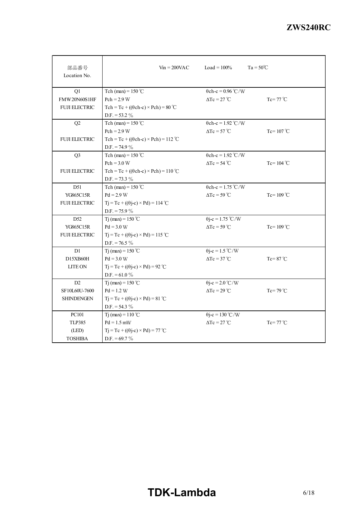| 部品番号<br>Location No. | $V_{\text{in}} = 200 \text{VAC}$                 | Load = $100\%$            | $Ta = 50^{\circ}C$  |
|----------------------|--------------------------------------------------|---------------------------|---------------------|
| Q1                   | Tch (max) = $150^{\circ}$ C                      | $\theta$ ch-c = 0.96 °C/W |                     |
| FMW20N60S1HF         | $Pch = 2.9 W$                                    | $\Delta Tc = 27^{\circ}C$ | $Tc = 77^{\circ}C$  |
| <b>FUJI ELECTRIC</b> | $Tch = Tc + ((\theta ch-c) \times Pch) = 80$ °C  |                           |                     |
|                      | $D.F. = 53.2 \%$                                 |                           |                     |
| Q2                   | Tch (max) = $150^{\circ}$ C                      | $\theta$ ch-c = 1.92 °C/W |                     |
|                      | $Pch = 2.9 W$                                    | $\Delta Tc = 57^{\circ}C$ | Tc= $107^{\circ}$ C |
| <b>FUJI ELECTRIC</b> | Tch = Tc + $((\theta ch-c) \times Pch)$ = 112 °C |                           |                     |
|                      | $D.F. = 74.9 \%$                                 |                           |                     |
| Q <sub>3</sub>       | Tch (max) = $150^{\circ}$ C                      | $\theta$ ch-c = 1.92 °C/W |                     |
|                      | $Pch = 3.0 W$                                    | $\Delta Tc = 54$ °C       | Tc= $104$ °C        |
| <b>FUJI ELECTRIC</b> | Tch = Tc + $((\theta ch-c) \times Pch)$ = 110 °C |                           |                     |
|                      | $D.F. = 73.3 \%$                                 |                           |                     |
| D51                  | Tch (max) = $150^{\circ}$ C                      | $\theta$ ch-c = 1.75 °C/W |                     |
| YG865C15R            | $Pd = 2.9 W$                                     | $\Delta Tc = 59^{\circ}C$ | Tc= $109^{\circ}$ C |
| <b>FUJI ELECTRIC</b> | $Tj = Tc + ((\theta j - c) \times Pd) = 114$ °C  |                           |                     |
|                      | D.F. = $75.9\%$                                  |                           |                     |
| D <sub>52</sub>      | T <sub>j</sub> (max) = 150 °C                    | $\theta$ j-c = 1.75 °C/W  |                     |
| <b>YG865C15R</b>     | $Pd = 3.0 W$                                     | $\Delta Tc = 59^{\circ}C$ | Tc= $109^{\circ}$ C |
| <b>FUJI ELECTRIC</b> | $Tj = Tc + ((\theta j - c) \times Pd) = 115$ °C  |                           |                     |
|                      | $D.F. = 76.5 \%$                                 |                           |                     |
| D1                   | T <sub>j</sub> (max) = $150^{\circ}$ C           | $\theta$ j-c = 1.5 °C/W   |                     |
| D15XB60H             | $Pd = 3.0 W$                                     | $\Delta Tc = 37^{\circ}C$ | $Tc = 87^{\circ}C$  |
| <b>LITE ON</b>       | $Tj = Tc + ((\theta j - c) \times Pd) = 92$ °C   |                           |                     |
|                      | D.F. = 61.0 $\%$                                 |                           |                     |
| D2                   | Tj (max) = $150^{\circ}$ C                       | $\theta$ j-c = 2.0 °C/W   |                     |
| SF10L60U-7600        | $Pd = 1.2 W$                                     | $\Delta Tc = 29^{\circ}C$ | $Tc = 79$ °C        |
| <b>SHINDENGEN</b>    | $Tj = Tc + ((\theta j - c) \times Pd) = 81$ °C   |                           |                     |
|                      | D.F. = $54.3\%$                                  |                           |                     |
| <b>PC101</b>         | T <sub>j</sub> (max) = $110^{\circ}$ C           | $\theta$ j-c = 130 °C/W   |                     |
| <b>TLP385</b>        | $Pd = 1.5$ mW                                    | $\Delta Tc = 27^{\circ}C$ | $Tc = 77^{\circ}C$  |
| (LED)                | $Tj = Tc + ((\theta j - c) \times Pd) = 77$ °C   |                           |                     |
| <b>TOSHIBA</b>       | $D.F. = 69.7 \%$                                 |                           |                     |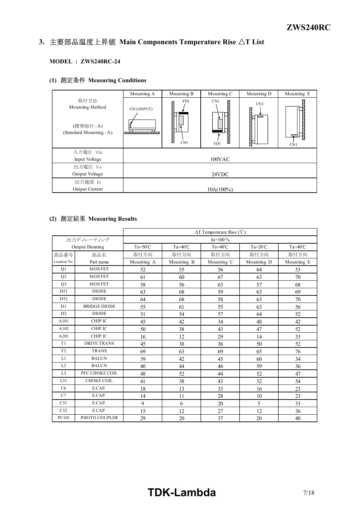#### *INSTRUCTION MANUAL* 3. 主要部品温度上昇值 Main Components Temperature Rise  $\Delta T$  List

## **MODEL : ZWS240RC-24**

# **(1) Measuring Conditions**

|                                                               | Mounting A      | Mounting B                         | Mounting C                                   | Mounting D      | Mounting E      |
|---------------------------------------------------------------|-----------------|------------------------------------|----------------------------------------------|-----------------|-----------------|
| 取付方法<br>Mounting Method<br>(標準取付:A)<br>(Standard Mounting: A) | CN1(INPUT)<br>. | <b>FIN</b><br>ê<br>ļ,<br>Ĩ,<br>CN1 | CN <sub>1</sub><br>R<br>š<br>Ŋ<br><b>FIN</b> | CN1<br>$\cdots$ | $\cdots$<br>CN1 |
| 入力電圧 Vin                                                      |                 |                                    |                                              |                 |                 |
| Input Voltage                                                 |                 |                                    | 100VAC                                       |                 |                 |
| 出力電圧 Vo                                                       |                 |                                    |                                              |                 |                 |
| Output Voltage                                                |                 |                                    | 24VDC                                        |                 |                 |
| 出力電流 Io                                                       |                 |                                    |                                              |                 |                 |
| Output Current                                                |                 |                                    | $10A(100\%)$                                 |                 |                 |

# **(2) Measuring Results**

|                 |                        | $\Delta T$ Temperature Rise (°C) |                  |                  |                  |                  |
|-----------------|------------------------|----------------------------------|------------------|------------------|------------------|------------------|
|                 | 出力ディレーティング             |                                  |                  | $Io = 100 \%$    |                  |                  |
|                 | <b>Output Derating</b> | $Ta = 50^{\circ}C$               | $Ta=40^{\circ}C$ | $Ta=40^{\circ}C$ | $Ta=20^{\circ}C$ | $Ta=40^{\circ}C$ |
| 部品番号            | 部品名                    | 取付方向                             | 取付方向             | 取付方向             | 取付方向             | 取付方向             |
| Location No.    | Part name              | Mounting A                       | Mounting B       | Mounting C       | Mounting D       | Mounting E       |
| Q1              | <b>MOSFET</b>          | 52                               | 55               | 56               | 64               | 53               |
| Q2              | <b>MOSFET</b>          | 61                               | 60               | 67               | 63               | 70               |
| Q <sub>3</sub>  | <b>MOSFET</b>          | 58                               | 56               | 63               | 57               | 68               |
| D51             | <b>DIODE</b>           | 63                               | 68               | 59               | 63               | 69               |
| D <sub>52</sub> | <b>DIODE</b>           | 64                               | 68               | 58               | 63               | 70               |
| D1              | <b>BRIDGE DIODE</b>    | 55                               | 61               | 55               | 63               | 56               |
| D2              | <b>DIODE</b>           | 51                               | 54               | 57               | 64               | 52               |
| A101            | CHIP IC                | 45                               | 42               | 34               | 48               | 42               |
| A102            | CHIP IC                | 50                               | 38               | 43               | 47               | 52               |
| A201            | CHIP IC                | 16                               | 12               | 29               | 14               | 33               |
| T <sub>1</sub>  | <b>DRIVE TRANS</b>     | 45                               | 38               | 36               | 50               | 52               |
| T <sub>2</sub>  | <b>TRANS</b>           | 69                               | 63               | 69               | 65               | 76               |
| L1              | <b>BALUN</b>           | 39                               | 42               | 45               | 60               | 34               |
| L2              | <b>BALUN</b>           | 40                               | 44               | 46               | 59               | 36               |
| L <sub>3</sub>  | PFC CHOKE COIL         | 48                               | 52               | 44               | 52               | 47               |
| L51             | <b>CHOKE COIL</b>      | 41                               | 38               | 43               | 32               | 54               |
| C6              | E.CAP.                 | 18                               | 13               | 33               | 16               | 23               |
| C7              | E.CAP.                 | 14                               | 11               | 28               | 10               | 23               |
| C51             | E.CAP.                 | 9                                | 6                | 20               | 5                | 33               |
| C52             | E.CAP.                 | 15                               | 12               | 27               | 12               | 36               |
| PC101           | PHOTO COUPLER          | 29                               | 20               | 37               | 20               | 40               |

# **TDK-Lambda** 7/18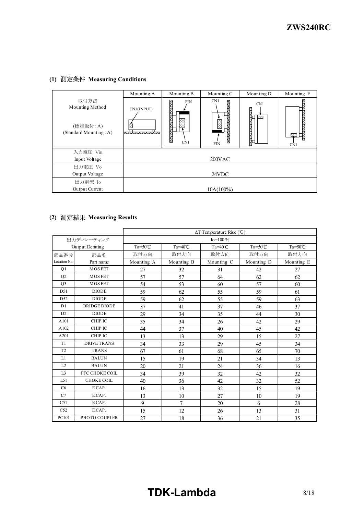# **(1) Measuring Conditions**

|                                                               | Mounting A           | Mounting B                                                     | Mounting C                        | Mounting D | Mounting E    |
|---------------------------------------------------------------|----------------------|----------------------------------------------------------------|-----------------------------------|------------|---------------|
| 取付方法<br>Mounting Method<br>(標準取付:A)<br>(Standard Mounting: A) | CN1(INPUT)<br>ħ<br>. | i.<br><b>FIN</b><br><b>Contract</b><br>iliri<br>i.<br>S<br>CN1 | CN1<br>Ñ<br>ă<br>Í.<br><b>FIN</b> | CN1<br>555 | $\sim$<br>CN1 |
| 入力電圧 Vin                                                      |                      |                                                                |                                   |            |               |
| Input Voltage                                                 |                      |                                                                | 200VAC                            |            |               |
| 出力電圧 Vo                                                       |                      |                                                                |                                   |            |               |
| Output Voltage                                                |                      |                                                                | 24VDC                             |            |               |
| 出力電流 Io                                                       |                      |                                                                |                                   |            |               |
| <b>Output Current</b>                                         |                      |                                                                | $10A(100\%)$                      |            |               |

# **(2) Measuring Results**

|                 |                        | $\Delta T$ Temperature Rise (°C) |                  |                  |                    |                    |
|-----------------|------------------------|----------------------------------|------------------|------------------|--------------------|--------------------|
|                 | 出力ディレーティング             |                                  |                  | $Io = 100\%$     |                    |                    |
|                 | <b>Output Derating</b> | $Ta = 50^{\circ}C$               | $Ta=40^{\circ}C$ | $Ta=40^{\circ}C$ | $Ta = 50^{\circ}C$ | $Ta = 50^{\circ}C$ |
| 部品番号            | 部品名                    | 取付方向                             | 取付方向             | 取付方向             | 取付方向               | 取付方向               |
| Location No.    | Part name              | Mounting A                       | Mounting B       | Mounting C       | Mounting D         | Mounting E         |
| Q1              | <b>MOSFET</b>          | 27                               | 32               | 31               | 42                 | 27                 |
| Q2              | <b>MOSFET</b>          | 57                               | 57               | 64               | 62                 | 62                 |
| Q <sub>3</sub>  | <b>MOSFET</b>          | 54                               | 53               | 60               | 57                 | 60                 |
| D51             | <b>DIODE</b>           | 59                               | 62               | 55               | 59                 | 61                 |
| D <sub>52</sub> | <b>DIODE</b>           | 59                               | 62               | 55               | 59                 | 63                 |
| D1              | <b>BRIDGE DIODE</b>    | 37                               | 41               | 37               | 46                 | 37                 |
| D2              | <b>DIODE</b>           | 29                               | 34               | 35               | 44                 | 30                 |
| A101            | CHIP IC                | 35                               | 34               | 26               | 42                 | 29                 |
| A102            | CHIP IC                | 44                               | 37               | 40               | 45                 | 42                 |
| A201            | CHIP IC                | 13                               | 13               | 29               | 15                 | 27                 |
| T <sub>1</sub>  | <b>DRIVE TRANS</b>     | 34                               | 33               | 29               | 45                 | 34                 |
| T <sub>2</sub>  | <b>TRANS</b>           | 67                               | 61               | 68               | 65                 | 70                 |
| L1              | <b>BALUN</b>           | 15                               | 19               | 21               | 34                 | 13                 |
| L2              | <b>BALUN</b>           | 20                               | 21               | 24               | 36                 | 16                 |
| L <sub>3</sub>  | PFC CHOKE COIL         | 34                               | 39               | 32               | 42                 | 32                 |
| L51             | CHOKE COIL             | 40                               | 36               | 42               | 32                 | 52                 |
| C6              | E.CAP.                 | 16                               | 13               | 32               | 15                 | 19                 |
| C7              | E.CAP.                 | 13                               | 10               | 27               | 10                 | 19                 |
| C51             | E.CAP.                 | 9                                | 7                | 20               | 6                  | 28                 |
| C52             | E.CAP.                 | 15                               | 12               | 26               | 13                 | 31                 |
| PC101           | PHOTO COUPLER          | 27                               | 18               | 36               | 21                 | 35                 |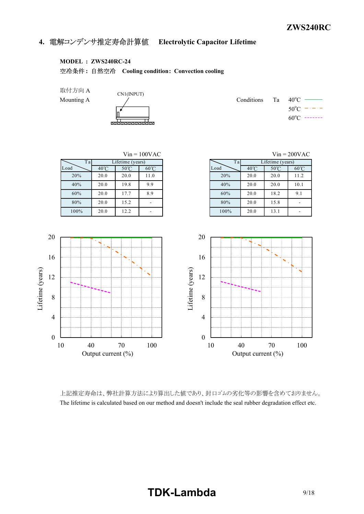# **4. Electrolytic Capacitor Lifetime**

### **MODEL : ZWS240RC-24**

**: Cooling condition: Convection cooling**

取付方向 A

CN1(INPUT) red.

Mounting A  $\angle$  Conditions Ta 40<sup>o</sup>C –  $50^{\circ}$ C  $60^{\circ}$ C -------



上記推定寿命は、弊社計算方法により算出した値であり、封口ゴムの劣化等の影響を含めておりません。 The lifetime is calculated based on our method and doesn't include the seal rubber degradation effect etc.

# **TDK-Lambda** 9/18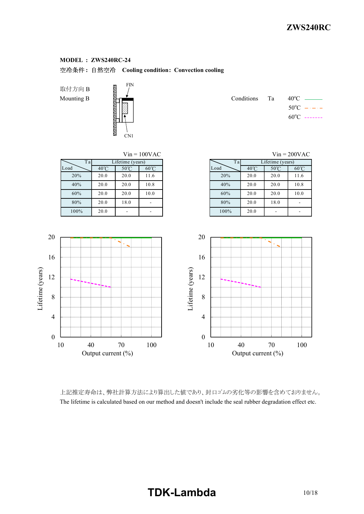**: Cooling condition: Convection cooling**

取付方向 B Mounting B



|  | Conditions Ta $40^{\circ}$ C — |
|--|--------------------------------|
|  | $50^{\circ}$ C $  -$           |
|  | $60^{\circ}$ C -------         |



上記推定寿命は、弊社計算方法により算出した値であり、封口ゴムの劣化等の影響を含めておりません。 The lifetime is calculated based on our method and doesn't include the seal rubber degradation effect etc.

# **TDK-Lambda** 10/18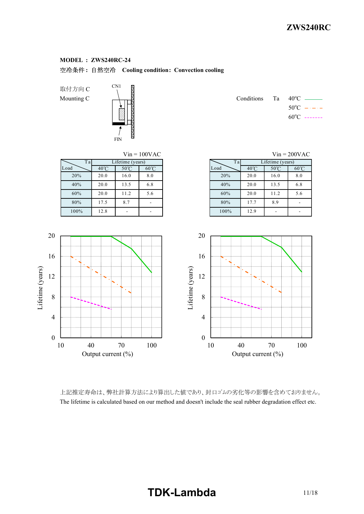**: Cooling condition: Convection cooling**

取付方向 C



Mounting C  $\qquad \qquad$  Conditions Ta 40<sup>o</sup>C  $\qquad$  $50^{\circ}$ C  $60^{\circ}$ C -------



上記推定寿命は、弊社計算方法により算出した値であり、封口ゴムの劣化等の影響を含めておりません。 The lifetime is calculated based on our method and doesn't include the seal rubber degradation effect etc.

# **TDK-Lambda** 11/18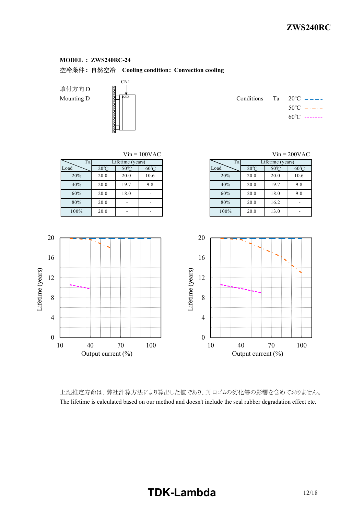**: Cooling condition: Convection cooling**

取付方向 D 取付方向 D<br>Mounting D<br>Conditions Table

Lifetime (years)

Lifetime (years)



|  | Conditions Ta $20^{\circ}$ C $---$ |
|--|------------------------------------|
|  | $50^{\circ}$ C $  -$               |
|  | $60^{\circ}$ C -------             |

| T a  |                | Lifetime (years) |                | Ta   |                | Lifetime (years) |                |
|------|----------------|------------------|----------------|------|----------------|------------------|----------------|
| Load | $20^{\circ}$ C | $50^{\circ}$ C   | $60^{\circ}$ C | Load | $20^{\circ}$ C | $50^{\circ}$ C   | $60^{\circ}$ C |
| 20%  | 20.0           | 20.0             | 10.6           | 20%  | 20.0           | 20.0             | 10.6           |
| 40%  | 20.0           | 19.7             | 9.8            | 40%  | 20.0           | 19.7             | 9.8            |
| 60%  | 20.0           | 18.0             |                | 60%  | 20.0           | 18.0             | 9.0            |
| 80%  | 20.0           |                  |                | 80%  | 20.0           | 16.2             | ۰              |
| 100% | 20.0           |                  | ۰              | 100% | 20.0           | 13.0             |                |

| $V$ in = 100 $VAC$<br>$V$ in = 200VAC |                |  |      |                |                  |                |  |  |  |  |
|---------------------------------------|----------------|--|------|----------------|------------------|----------------|--|--|--|--|
| me (years)                            |                |  | Ta   |                | Lifetime (years) |                |  |  |  |  |
| $50^{\circ}$ C                        | $60^{\circ}$ C |  | Load | $20^{\circ}$ C | $50^{\circ}$ C   | $60^{\circ}$ C |  |  |  |  |
| 20.0                                  | 10.6           |  | 20%  | 20.0           | 20.0             | 10.6           |  |  |  |  |
| 9.7                                   | 9.8            |  | 40%  | 20.0           | 19.7             | 9.8            |  |  |  |  |
| 8.0                                   |                |  | 60%  | 20.0           | 18.0             | 9.0            |  |  |  |  |
|                                       |                |  | 80%  | 20.0           | 16.2             |                |  |  |  |  |
|                                       |                |  | 100% | 20 0           | 130              |                |  |  |  |  |



上記推定寿命は、弊社計算方法により算出した値であり、封口ゴムの劣化等の影響を含めておりません。 The lifetime is calculated based on our method and doesn't include the seal rubber degradation effect etc.

# **TDK-Lambda** 12/18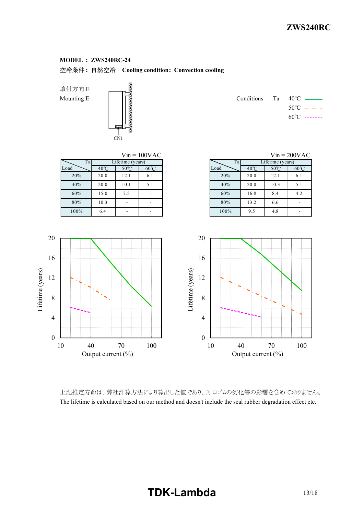# **: Cooling condition: Convection cooling**

取付方向 E



Mounting E  $\|\cdot\|$   $\|\cdot\|$  $50^{\circ}$ C  $60^{\circ}$ C -------



上記推定寿命は、弊社計算方法により算出した値であり、封口ゴムの劣化等の影響を含めておりません。 The lifetime is calculated based on our method and doesn't include the seal rubber degradation effect etc.

# **TDK-Lambda** 13/18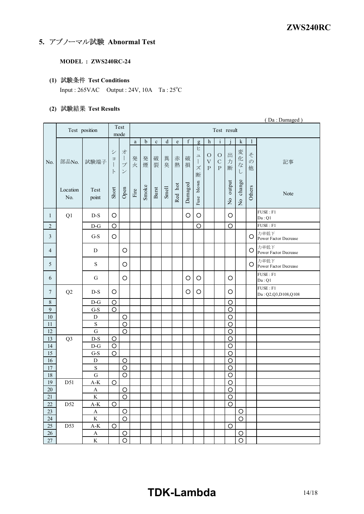# **5. アブノーマル試験 Abnormal Test**

## **MODEL : ZWS240RC-24**

## **(1) Test Conditions**

Input :  $265VAC$  Output :  $24V$ ,  $10A$  Ta :  $25^{\circ}C$ 

# **(2) Test Results**

|                 |                 |                        |                                    |                                                                      |          |             |             |           |                           |             |                                  |                                 |                                        |                |                               |                         | (Da: Damaged)                    |
|-----------------|-----------------|------------------------|------------------------------------|----------------------------------------------------------------------|----------|-------------|-------------|-----------|---------------------------|-------------|----------------------------------|---------------------------------|----------------------------------------|----------------|-------------------------------|-------------------------|----------------------------------|
|                 |                 | Test position          | Test<br>Test result<br>mode        |                                                                      |          |             |             |           |                           |             |                                  |                                 |                                        |                |                               |                         |                                  |
|                 |                 |                        |                                    |                                                                      | $\rm{a}$ | $\mathbf b$ | $\mathbf c$ | ${\bf d}$ | $\mathop{\rm e}\nolimits$ | $\mathbf f$ | g                                | $\boldsymbol{\mathrm{h}}$       | $\mathbf{i}$                           |                | ${\bf k}$                     | $\mathbf{1}$            |                                  |
| No.             | 部品No.           | 試験端子                   | シ<br>ヨ<br>$\mathbf{I}$<br>$\vdash$ | 才<br>$\begin{array}{c} \end{array}$<br>$\mathcal{I}$<br>$\checkmark$ | 発<br>火   | 発<br>煙      | 破<br>裂      | 異<br>臭    | 赤<br>熱                    | 破<br>損      | Ł<br>그<br>$\mathbf{I}$<br>ズ<br>断 | $\circ$<br>$\bar{V}$<br>$\rm P$ | $\circ$<br>$\mathbf C$<br>$\mathsf{P}$ | 出<br>力<br>断    | 変<br>化<br>$\vec{z}$<br>$\cup$ | そ<br>$\mathcal{O}$<br>他 | 記事                               |
|                 | Location<br>No. | Test<br>point          | Short                              | Open                                                                 | Fire     | Smoke       | Burst       | Smell     | Red hot                   | Damaged     | blown<br>Fuse                    |                                 |                                        | No output      | change<br>$\frac{1}{2}$       | Others                  | Note                             |
| $\mathbf{1}$    | Q1              | $D-S$                  | O                                  |                                                                      |          |             |             |           |                           | O           | O                                |                                 |                                        | O              |                               |                         | FUSE : F1<br>Da:Q1               |
| $\overline{c}$  |                 | $D-G$                  | $\circ$                            |                                                                      |          |             |             |           |                           |             | O                                |                                 |                                        | $\circ$        |                               |                         | FUSE : F1                        |
| $\mathfrak{Z}$  |                 | $G-S$                  | O                                  |                                                                      |          |             |             |           |                           |             |                                  |                                 |                                        |                |                               | O                       | 力率低下<br>Power Factor Decrease    |
| $\overline{4}$  |                 | D                      |                                    | $\circ$                                                              |          |             |             |           |                           |             |                                  |                                 |                                        |                |                               | O                       | 力率低下<br>Power Factor Decrease    |
| 5               |                 | S                      |                                    | $\circ$                                                              |          |             |             |           |                           |             |                                  |                                 |                                        |                |                               | O                       | 力率低下<br>Power Factor Decrease    |
| 6               |                 | G                      |                                    | $\circ$                                                              |          |             |             |           |                           | O           | $\circ$                          |                                 |                                        | $\circ$        |                               |                         | FUSE : F1<br>Da:Q1               |
| 7               | Q2              | $D-S$                  | O                                  |                                                                      |          |             |             |           |                           | $\circ$     | $\circ$                          |                                 |                                        | O              |                               |                         | FUSE : F1<br>Da: Q2,Q3,D108,Q108 |
| $8\,$           |                 | $D-G$                  | $\circ$                            |                                                                      |          |             |             |           |                           |             |                                  |                                 |                                        | $\circ$        |                               |                         |                                  |
| $\overline{9}$  |                 | $G-S$                  | $\circ$                            |                                                                      |          |             |             |           |                           |             |                                  |                                 |                                        | $\circ$        |                               |                         |                                  |
| $10\,$          |                 | $\mathbf D$            |                                    | $\circ$                                                              |          |             |             |           |                           |             |                                  |                                 |                                        | $\circ$        |                               |                         |                                  |
| $11\,$          |                 | ${\bf S}$              |                                    | $\circ$                                                              |          |             |             |           |                           |             |                                  |                                 |                                        | $\circ$        |                               |                         |                                  |
| 12              |                 | G                      |                                    | $\circ$                                                              |          |             |             |           |                           |             |                                  |                                 |                                        | $\circ$        |                               |                         |                                  |
| 13              | Q <sub>3</sub>  | $D-S$                  | $\circ$                            |                                                                      |          |             |             |           |                           |             |                                  |                                 |                                        | $\circ$        |                               |                         |                                  |
| 14              |                 | $D-G$                  | $\circ$                            |                                                                      |          |             |             |           |                           |             |                                  |                                 |                                        | $\circ$        |                               |                         |                                  |
| 15              |                 | $G-S$                  | $\circ$                            |                                                                      |          |             |             |           |                           |             |                                  |                                 |                                        | $\circ$        |                               |                         |                                  |
| 16              |                 | $\mathbf D$            |                                    | $\circ$                                                              |          |             |             |           |                           |             |                                  |                                 |                                        | $\circ$        |                               |                         |                                  |
| $17$            |                 | $\mathbf S$            |                                    | $\circ$                                                              |          |             |             |           |                           |             |                                  |                                 |                                        | $\circ$        |                               |                         |                                  |
| $\overline{18}$ |                 | G                      |                                    | $\circ$                                                              |          |             |             |           |                           |             |                                  |                                 |                                        | $\circ$        |                               |                         |                                  |
| 19              | D51             | $A-K$                  | O                                  |                                                                      |          |             |             |           |                           |             |                                  |                                 |                                        | $\circ$        |                               |                         |                                  |
| $20\,$          |                 | A                      |                                    | $\overline{O}$                                                       |          |             |             |           |                           |             |                                  |                                 |                                        | $\overline{O}$ |                               |                         |                                  |
| $21\,$          |                 | $\rm K$                |                                    | $\overline{O}$                                                       |          |             |             |           |                           |             |                                  |                                 |                                        | $\circ$        |                               |                         |                                  |
| $22\,$          | D52             | $A-K$                  | $\bigcirc$                         |                                                                      |          |             |             |           |                           |             |                                  |                                 |                                        | $\circ$        |                               |                         |                                  |
| 23<br>24        |                 | $\mathbf A$<br>$\rm K$ |                                    | $\circ$<br>$\circ$                                                   |          |             |             |           |                           |             |                                  |                                 |                                        |                | $\circ$<br>$\circ$            |                         |                                  |
| $25\,$          | D53             | $A-K$                  | $\circ$                            |                                                                      |          |             |             |           |                           |             |                                  |                                 |                                        | $\circ$        |                               |                         |                                  |
| 26              |                 | $\mathbf A$            |                                    | $\circ$                                                              |          |             |             |           |                           |             |                                  |                                 |                                        |                | $\circ$                       |                         |                                  |
| $27\,$          |                 | $\rm K$                |                                    | $\circ$                                                              |          |             |             |           |                           |             |                                  |                                 |                                        |                | $\circ$                       |                         |                                  |

# **TDKLambda** 14/18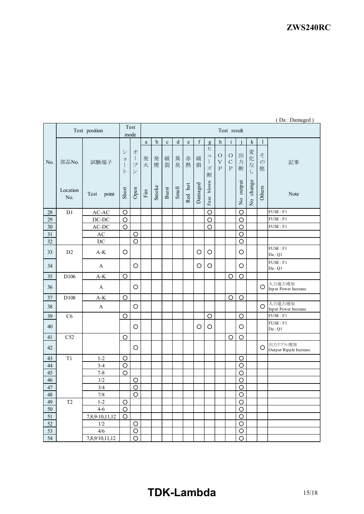|                 |                     |                                |                                           |                                                            |              |             |             |         |             |             |                          |                                          |                                   |                |                           |                         | $($ Da . Damageu $)$              |
|-----------------|---------------------|--------------------------------|-------------------------------------------|------------------------------------------------------------|--------------|-------------|-------------|---------|-------------|-------------|--------------------------|------------------------------------------|-----------------------------------|----------------|---------------------------|-------------------------|-----------------------------------|
|                 |                     | Test position                  |                                           | Test<br>mode                                               | Test result  |             |             |         |             |             |                          |                                          |                                   |                |                           |                         |                                   |
|                 |                     |                                |                                           |                                                            | $\mathbf{a}$ | $\mathbf b$ | $\mathbf c$ | $\rm d$ | $\mathbf e$ | $\mathbf f$ | g                        | h                                        | $\mathbf{i}$                      |                | $\mathbf k$               | $\mathbf{1}$            |                                   |
| No.             | 部品No.               | 試験端子                           | シ<br>$\equiv$<br>$\mathbf{I}$<br>$\vdash$ | 才<br>$\mathbf{I}$<br>$\mathcal{I}^{\circ}$<br>$\checkmark$ | 発<br>火       | 発<br>煙      | 破<br>裂      | 異<br>臭  | 赤<br>熱      | 破<br>損      | ヒ<br>$\square$<br>ズ<br>断 | $\circ$<br>$\bar{\mathrm{V}}$<br>$\rm P$ | $\circ$<br>$\mathbf C$<br>$\rm P$ | 出<br>力<br>断    | 変化<br>$\vec{z}$<br>$\cup$ | そ<br>$\mathcal{O}$<br>他 | 記事                                |
|                 | Location<br>No.     | point<br>Test                  | Short                                     | Open                                                       | Fire         | Smoke       | Burst       | Smell   | Red hot     | Damaged     | blown<br>Fuse            |                                          |                                   | No output      | change<br>$\frac{1}{2}$   | Others                  | Note                              |
| 28              | D1                  | $AC-AC$                        | $\circ$                                   |                                                            |              |             |             |         |             |             | $\circ$                  |                                          |                                   | $\circ$        |                           |                         | FUSE : F1                         |
| 29              |                     | $DC-DC$                        | $\circ$                                   |                                                            |              |             |             |         |             |             | $\circ$                  |                                          |                                   | $\circ$        |                           |                         | FUSE : F1                         |
| 30              |                     | AC-DC                          | $\circ$                                   |                                                            |              |             |             |         |             |             | $\circ$                  |                                          |                                   | $\circ$        |                           |                         | FUSE : F1                         |
| 31              |                     | $\mathbf{A}\mathbf{C}$         |                                           | $\circ$                                                    |              |             |             |         |             |             |                          |                                          |                                   | $\circ$        |                           |                         |                                   |
| 32              |                     | DC                             |                                           | $\circ$                                                    |              |             |             |         |             |             |                          |                                          |                                   | $\circ$        |                           |                         |                                   |
| 33              | D <sub>2</sub>      | $\mathbf{A}\text{-}\mathbf{K}$ | $\circ$                                   |                                                            |              |             |             |         |             | $\circ$     | $\circ$                  |                                          |                                   | $\circ$        |                           |                         | FUSE : F1<br>Da:Q1                |
| 34              |                     | $\mathbf{A}$                   |                                           | $\bigcirc$                                                 |              |             |             |         |             | $\circ$     | $\bigcirc$               |                                          |                                   | O              |                           |                         | FUSE: F1<br>Da:Q1                 |
| 35              | D106                | $\mathbf{A}\text{-}\mathbf{K}$ | O                                         |                                                            |              |             |             |         |             |             |                          |                                          | O                                 | $\circ$        |                           |                         |                                   |
| 36              |                     | $\mathbf{A}$                   |                                           | $\circ$                                                    |              |             |             |         |             |             |                          |                                          |                                   |                |                           | $\circ$                 | 入力電力増加<br>Input Power Increase    |
| $37\,$          | D108                | $\mathbf{A}\text{-}\mathbf{K}$ | $\circ$                                   |                                                            |              |             |             |         |             |             |                          |                                          | $\circ$                           | $\circ$        |                           |                         |                                   |
| 38              |                     | $\boldsymbol{\mathsf{A}}$      |                                           | $\circ$                                                    |              |             |             |         |             |             |                          |                                          |                                   |                |                           | $\circ$                 | 入力電力増加<br>Input Power Increase    |
| 39              | C6                  |                                | O                                         |                                                            |              |             |             |         |             |             | $\circ$                  |                                          |                                   | O              |                           |                         | $\overline{FUSE}:F1$              |
| 40              |                     |                                |                                           | $\circ$                                                    |              |             |             |         |             | O           | O                        |                                          |                                   | O              |                           |                         | FUSE : F1<br>Da:Q1                |
| 41              | C52                 |                                | $\circ$                                   |                                                            |              |             |             |         |             |             |                          |                                          | O                                 | $\circ$        |                           |                         |                                   |
| 42              |                     |                                |                                           | $\circ$                                                    |              |             |             |         |             |             |                          |                                          |                                   |                |                           | O                       | 出力リプル増加<br>Output Ripple Increase |
| 43              | T1                  | $1 - 2$                        | $\circ$                                   |                                                            |              |             |             |         |             |             |                          |                                          |                                   | $\circ$        |                           |                         |                                   |
| 44              |                     | $3 - 4$                        | $\circ$                                   |                                                            |              |             |             |         |             |             |                          |                                          |                                   | O              |                           |                         |                                   |
| 45              |                     | $7 - 8$                        | $\circ$                                   |                                                            |              |             |             |         |             |             |                          |                                          |                                   | O              |                           |                         |                                   |
| 46              |                     | 1/2                            |                                           | $\circ$                                                    |              |             |             |         |             |             |                          |                                          |                                   | O              |                           |                         |                                   |
| $47\,$          |                     | 3/4                            |                                           | $\circ$                                                    |              |             |             |         |             |             |                          |                                          |                                   | $\circ$        |                           |                         |                                   |
| 48              |                     | $7/8$                          |                                           | $\overline{O}$                                             |              |             |             |         |             |             |                          |                                          |                                   | $\overline{O}$ |                           |                         |                                   |
| 49              | $\operatorname{T2}$ | $1 - 2$                        | $\circ$                                   |                                                            |              |             |             |         |             |             |                          |                                          |                                   | $\circ$        |                           |                         |                                   |
| $50\,$          |                     | $4 - 6$                        | $\circ$                                   |                                                            |              |             |             |         |             |             |                          |                                          |                                   | $\circ$        |                           |                         |                                   |
| 51              |                     | 7,8,9-10,11,12                 | $\circ$                                   |                                                            |              |             |             |         |             |             |                          |                                          |                                   | $\circ$        |                           |                         |                                   |
| $\overline{52}$ |                     | $1/2$                          |                                           | $\circ$                                                    |              |             |             |         |             |             |                          |                                          |                                   | $\circ$        |                           |                         |                                   |
| 53              |                     | 4/6                            |                                           | $\circ$                                                    |              |             |             |         |             |             |                          |                                          |                                   | $\circ$        |                           |                         |                                   |
| 54              |                     | 7,8,9/10,11,12                 |                                           | $\bigcirc$                                                 |              |             |             |         |             |             |                          |                                          |                                   | $\circ$        |                           |                         |                                   |

# ( Da : Damaged )

# **TDKLambda** 15/18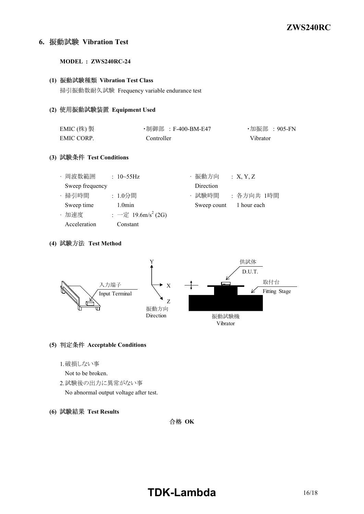# **6. Vibration Test**

#### **MODEL : ZWS240RC24**

#### **(1) Vibration Test Class**

掃引振動数耐久試験 Frequency variable endurance test

#### **(2) Equipment Used**

| EMIC $($ 株) 製 | ・制御部 :F-400-BM-E47 | ・加振部 :905-FN |
|---------------|--------------------|--------------|
| EMIC CORP.    | Controller         | Vibrator     |

# **(3) Test Conditions**

| · 周波数範囲         | : $10 \sim 55$ Hz              | ・振動方向       | X, Y, Z     |
|-----------------|--------------------------------|-------------|-------------|
| Sweep frequency |                                | Direction   |             |
| · 掃引時間          | : 1.0分間                        | ・試験時間       | :各方向共 1時間   |
| Sweep time      | $1.0$ min                      | Sweep count | 1 hour each |
| ・加速度            | : 一定 19.6m/s <sup>2</sup> (2G) |             |             |
| Acceleration    | Constant                       |             |             |

### **(4) Test Method**



## **(5) Acceptable Conditions**

- 1.破損しない事
- Not to be broken.
- 2.試験後の出力に異常がない事 No abnormal output voltage after test.
- **(6) Test Results**

合格 OK

# **TDKLambda** 16/18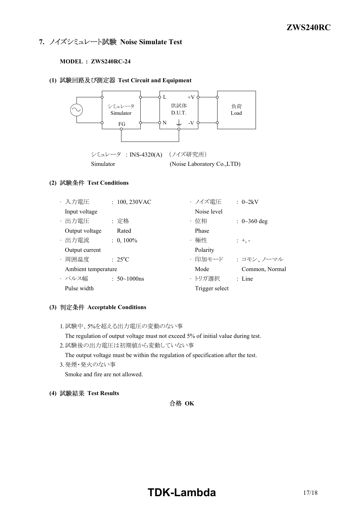# **7. ノイズシミュレート試験 Noise Simulate Test**

### **MODEL : ZWS240RC24**

## **(1) Test Circuit and Equipment**



## **(2) Test Conditions**

| ・入力電圧               | $: 100, 230$ VAC    | ・ノイズ電圧         | $\therefore$ 0~2kV |
|---------------------|---------------------|----------------|--------------------|
| Input voltage       |                     | Noise level    |                    |
| · 出力電圧              | : 定格                | ・位相            | : $0 \sim 360$ deg |
| Output voltage      | Rated               | Phase          |                    |
| · 出力電流              | $: 0, 100\%$        | • 極性           | $: +,-$            |
| Output current      |                     | Polarity       |                    |
| ・周囲温度               | $: 25^{\circ}C$     | ・印加モード         | : コモン、ノーマル         |
| Ambient temperature |                     | Mode           | Common, Normal     |
| ・パルス幅               | : $50 \sim 1000$ ns | ・トリガ選択         | $\therefore$ Line  |
| Pulse width         |                     | Trigger select |                    |

## **(3) Acceptable Conditions**

1.試験中、5%を超える出力電圧の変動のない事

The regulation of output voltage must not exceed 5% of initial value during test.

- 2.試験後の出力電圧は初期値から変動していない事 The output voltage must be within the regulation of specification after the test.
- 3.発煙・発火のない事 Smoke and fire are not allowed.
- **(4) Test Results**

# 合格 OK

# **TDK-Lambda** 17/18